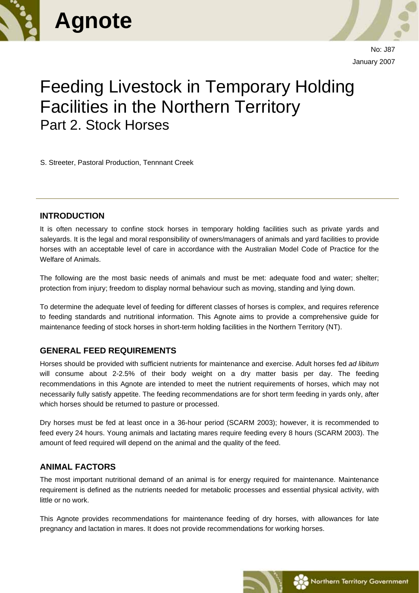



No: J87 January 2007

# Feeding Livestock in Temporary Holding Facilities in the Northern Territory Part 2. Stock Horses

S. Streeter, Pastoral Production, Tennnant Creek

#### **INTRODUCTION**

It is often necessary to confine stock horses in temporary holding facilities such as private yards and saleyards. It is the legal and moral responsibility of owners/managers of animals and yard facilities to provide horses with an acceptable level of care in accordance with the Australian Model Code of Practice for the Welfare of Animals.

The following are the most basic needs of animals and must be met: adequate food and water; shelter; protection from injury; freedom to display normal behaviour such as moving, standing and lying down.

To determine the adequate level of feeding for different classes of horses is complex, and requires reference to feeding standards and nutritional information. This Agnote aims to provide a comprehensive guide for maintenance feeding of stock horses in short-term holding facilities in the Northern Territory (NT).

#### **GENERAL FEED REQUIREMENTS**

Horses should be provided with sufficient nutrients for maintenance and exercise. Adult horses fed *ad libitum* will consume about 2-2.5% of their body weight on a dry matter basis per day. The feeding recommendations in this Agnote are intended to meet the nutrient requirements of horses, which may not necessarily fully satisfy appetite. The feeding recommendations are for short term feeding in yards only, after which horses should be returned to pasture or processed.

Dry horses must be fed at least once in a 36-hour period (SCARM 2003); however, it is recommended to feed every 24 hours. Young animals and lactating mares require feeding every 8 hours (SCARM 2003). The amount of feed required will depend on the animal and the quality of the feed.

# **ANIMAL FACTORS**

The most important nutritional demand of an animal is for energy required for maintenance. Maintenance requirement is defined as the nutrients needed for metabolic processes and essential physical activity, with little or no work.

This Agnote provides recommendations for maintenance feeding of dry horses, with allowances for late pregnancy and lactation in mares. It does not provide recommendations for working horses.

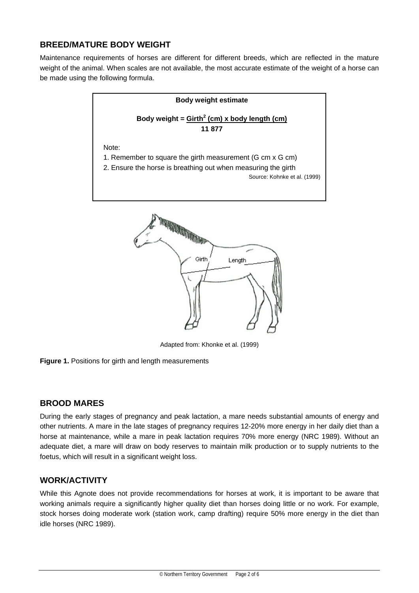# **BREED/MATURE BODY WEIGHT**

Maintenance requirements of horses are different for different breeds, which are reflected in the mature weight of the animal. When scales are not available, the most accurate estimate of the weight of a horse can be made using the following formula.



Adapted from: Khonke et al. (1999)



# **BROOD MARES**

During the early stages of pregnancy and peak lactation, a mare needs substantial amounts of energy and other nutrients. A mare in the late stages of pregnancy requires 12-20% more energy in her daily diet than a horse at maintenance, while a mare in peak lactation requires 70% more energy (NRC 1989). Without an adequate diet, a mare will draw on body reserves to maintain milk production or to supply nutrients to the foetus, which will result in a significant weight loss.

#### **WORK/ACTIVITY**

While this Agnote does not provide recommendations for horses at work, it is important to be aware that working animals require a significantly higher quality diet than horses doing little or no work. For example, stock horses doing moderate work (station work, camp drafting) require 50% more energy in the diet than idle horses (NRC 1989).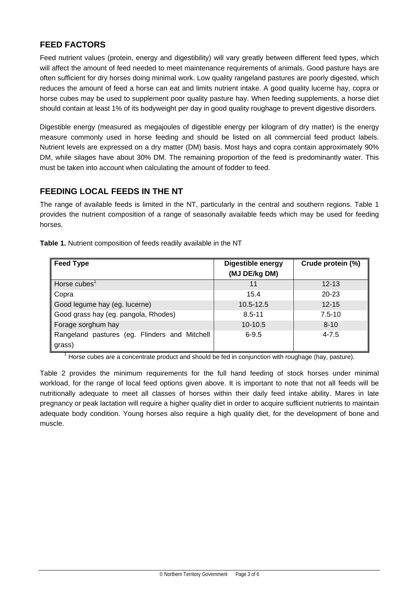# **FEED FACTORS**

Feed nutrient values (protein, energy and digestibility) will vary greatly between different feed types, which will affect the amount of feed needed to meet maintenance requirements of animals. Good pasture hays are often sufficient for dry horses doing minimal work. Low quality rangeland pastures are poorly digested, which reduces the amount of feed a horse can eat and limits nutrient intake. A good quality lucerne hay, copra or horse cubes may be used to supplement poor quality pasture hay. When feeding supplements, a horse diet should contain at least 1% of its bodyweight per day in good quality roughage to prevent digestive disorders.

Digestible energy (measured as megajoules of digestible energy per kilogram of dry matter) is the energy measure commonly used in horse feeding and should be listed on all commercial feed product labels. Nutrient levels are expressed on a dry matter (DM) basis. Most hays and copra contain approximately 90% DM, while silages have about 30% DM. The remaining proportion of the feed is predominantly water. This must be taken into account when calculating the amount of fodder to feed.

# **FEEDING LOCAL FEEDS IN THE NT**

The range of available feeds is limited in the NT, particularly in the central and southern regions. Table 1 provides the nutrient composition of a range of seasonally available feeds which may be used for feeding horses.

| <b>Feed Type</b>                              | <b>Digestible energy</b><br>(MJ DE/kg DM) | Crude protein (%) |
|-----------------------------------------------|-------------------------------------------|-------------------|
| Horse cubes <sup>1</sup>                      | 11                                        | $12 - 13$         |
| Copra                                         | 15.4                                      | 20-23             |
| Good legume hay (eg. lucerne)                 | 10.5-12.5                                 | $12 - 15$         |
| Good grass hay (eg. pangola, Rhodes)          | $8.5 - 11$                                | $7.5 - 10$        |
| Forage sorghum hay                            | $10-10.5$                                 | $8 - 10$          |
| Rangeland pastures (eg. Flinders and Mitchell | $6 - 9.5$                                 | $4 - 7.5$         |
| grass)                                        |                                           |                   |

**Table 1.** Nutrient composition of feeds readily available in the NT

1 Horse cubes are a concentrate product and should be fed in conjunction with roughage (hay, pasture).

Table 2 provides the minimum requirements for the full hand feeding of stock horses under minimal workload, for the range of local feed options given above. It is important to note that not all feeds will be nutritionally adequate to meet all classes of horses within their daily feed intake ability. Mares in late pregnancy or peak lactation will require a higher quality diet in order to acquire sufficient nutrients to maintain adequate body condition. Young horses also require a high quality diet, for the development of bone and muscle.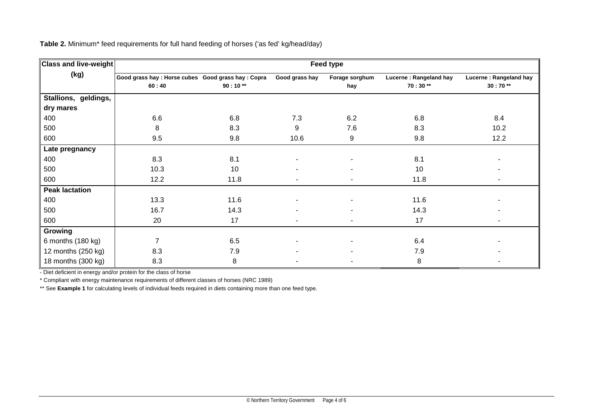| <b>Class and live-weight</b> | Feed type                                           |           |                          |                |                        |                        |
|------------------------------|-----------------------------------------------------|-----------|--------------------------|----------------|------------------------|------------------------|
| (kg)                         | Good grass hay : Horse cubes Good grass hay : Copra |           | Good grass hay           | Forage sorghum | Lucerne: Rangeland hay | Lucerne: Rangeland hay |
|                              | 60:40                                               | $90:10**$ |                          | hay            | $70:30**$              | $30:70**$              |
| Stallions, geldings,         |                                                     |           |                          |                |                        |                        |
| dry mares                    |                                                     |           |                          |                |                        |                        |
| 400                          | 6.6                                                 | 6.8       | 7.3                      | 6.2            | 6.8                    | 8.4                    |
| 500                          | 8                                                   | 8.3       | 9                        | 7.6            | 8.3                    | 10.2                   |
| 600                          | 9.5                                                 | 9.8       | 10.6                     | 9              | 9.8                    | 12.2                   |
| Late pregnancy               |                                                     |           |                          |                |                        |                        |
| 400                          | 8.3                                                 | 8.1       |                          |                | 8.1                    |                        |
| 500                          | 10.3                                                | 10        |                          |                | 10                     |                        |
| 600                          | 12.2                                                | 11.8      |                          |                | 11.8                   |                        |
| <b>Peak lactation</b>        |                                                     |           |                          |                |                        |                        |
| 400                          | 13.3                                                | 11.6      |                          |                | 11.6                   |                        |
| 500                          | 16.7                                                | 14.3      |                          |                | 14.3                   |                        |
| 600                          | 20                                                  | 17        | $\overline{\phantom{a}}$ |                | 17                     | ٠                      |
| Growing                      |                                                     |           |                          |                |                        |                        |
| 6 months (180 kg)            | 7                                                   | 6.5       |                          |                | 6.4                    |                        |
| 12 months (250 kg)           | 8.3                                                 | 7.9       |                          |                | 7.9                    |                        |
| 18 months (300 kg)           | 8.3                                                 | 8         |                          |                | 8                      |                        |

**Table 2.** Minimum\* feed requirements for full hand feeding of horses ('as fed' kg/head/day)

- Diet deficient in energy and/or protein for the class of horse

\* Compliant with energy maintenance requirements of different classes of horses (NRC 1989)

\*\* See Example 1 for calculating levels of individual feeds required in diets containing more than one feed type.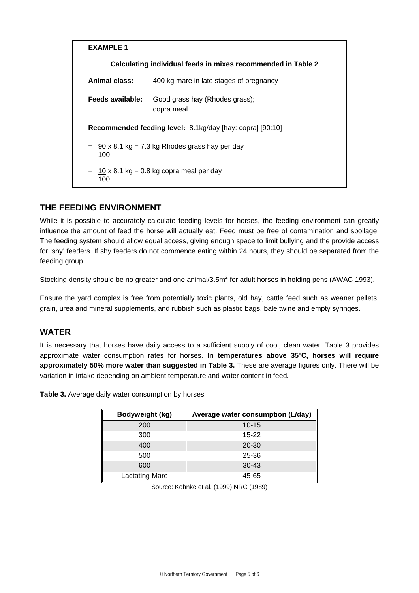

# **THE FEEDING ENVIRONMENT**

While it is possible to accurately calculate feeding levels for horses, the feeding environment can greatly influence the amount of feed the horse will actually eat. Feed must be free of contamination and spoilage. The feeding system should allow equal access, giving enough space to limit bullying and the provide access for 'shy' feeders. If shy feeders do not commence eating within 24 hours, they should be separated from the feeding group.

Stocking density should be no greater and one animal/3.5m<sup>2</sup> for adult horses in holding pens (AWAC 1993).

Ensure the yard complex is free from potentially toxic plants, old hay, cattle feed such as weaner pellets, grain, urea and mineral supplements, and rubbish such as plastic bags, bale twine and empty syringes.

# **WATER**

It is necessary that horses have daily access to a sufficient supply of cool, clean water. Table 3 provides approximate water consumption rates for horses. **In temperatures above 35ºC, horses will require approximately 50% more water than suggested in Table 3.** These are average figures only. There will be variation in intake depending on ambient temperature and water content in feed.

**Table 3.** Average daily water consumption by horses

| Bodyweight (kg)       | Average water consumption (L/day) |
|-----------------------|-----------------------------------|
| 200                   | $10 - 15$                         |
| 300                   | $15 - 22$                         |
| 400                   | $20 - 30$                         |
| 500                   | 25-36                             |
| 600                   | $30 - 43$                         |
| <b>Lactating Mare</b> | 45-65                             |

Source: Kohnke et al. (1999) NRC (1989)